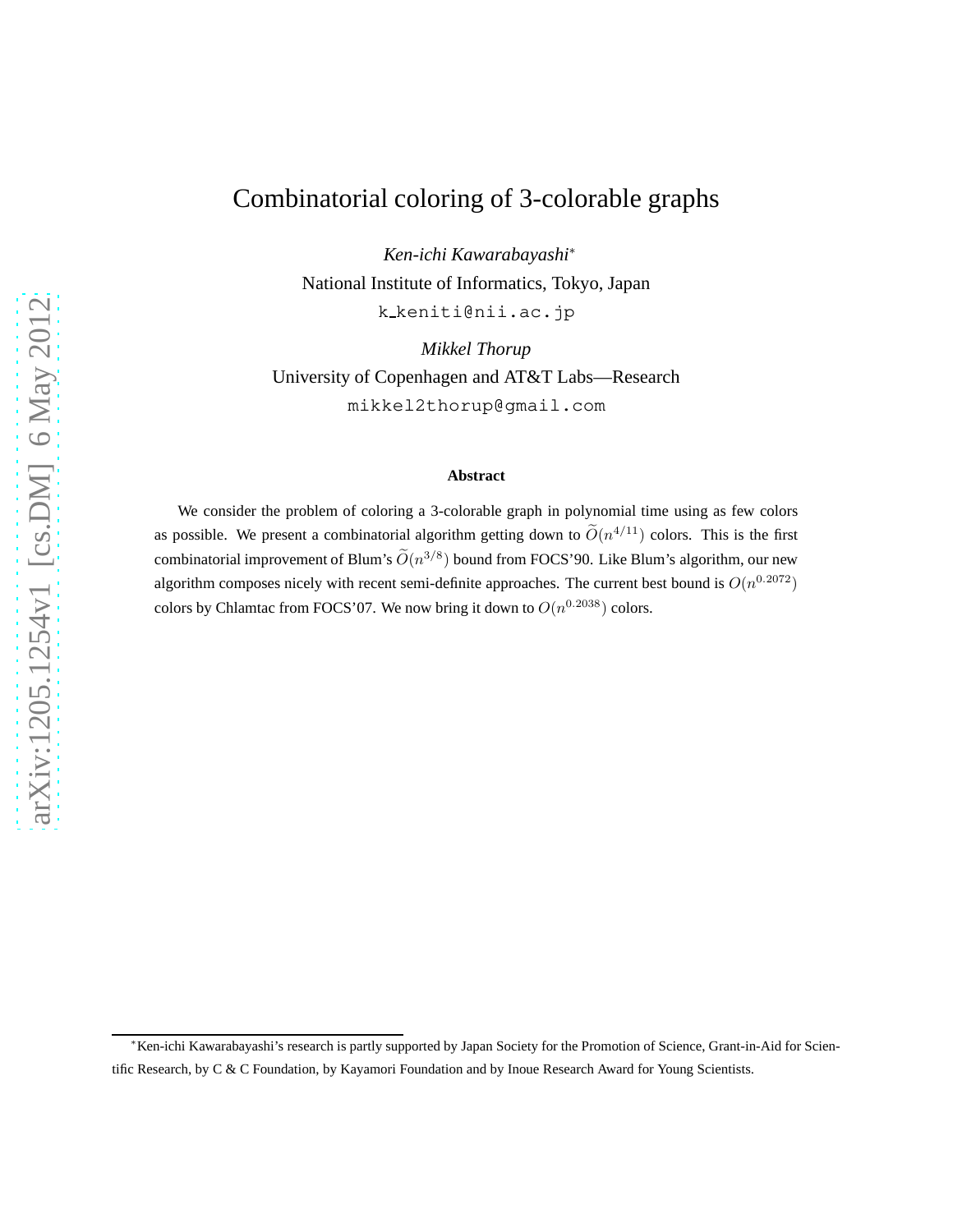# Combinatorial coloring of 3-colorable graphs

*Ken-ichi Kawarabayashi*<sup>∗</sup> National Institute of Informatics, Tokyo, Japan k keniti@nii.ac.jp

*Mikkel Thorup* University of Copenhagen and AT&T Labs—Research mikkel2thorup@gmail.com

#### **Abstract**

We consider the problem of coloring a 3-colorable graph in polynomial time using as few colors as possible. We present a combinatorial algorithm getting down to  $\tilde{O}(n^{4/11})$  colors. This is the first combinatorial improvement of Blum's  $\widetilde{O}(n^{3/8})$  bound from FOCS'90. Like Blum's algorithm, our new algorithm composes nicely with recent semi-definite approaches. The current best bound is  $O(n^{0.2072})$ colors by Chlamtac from FOCS'07. We now bring it down to  $O(n^{0.2038})$  colors.

<sup>∗</sup>Ken-ichi Kawarabayashi's research is partly supported by Japan Society for the Promotion of Science, Grant-in-Aid for Scientific Research, by C & C Foundation, by Kayamori Foundation and by Inoue Research Award for Young Scientists.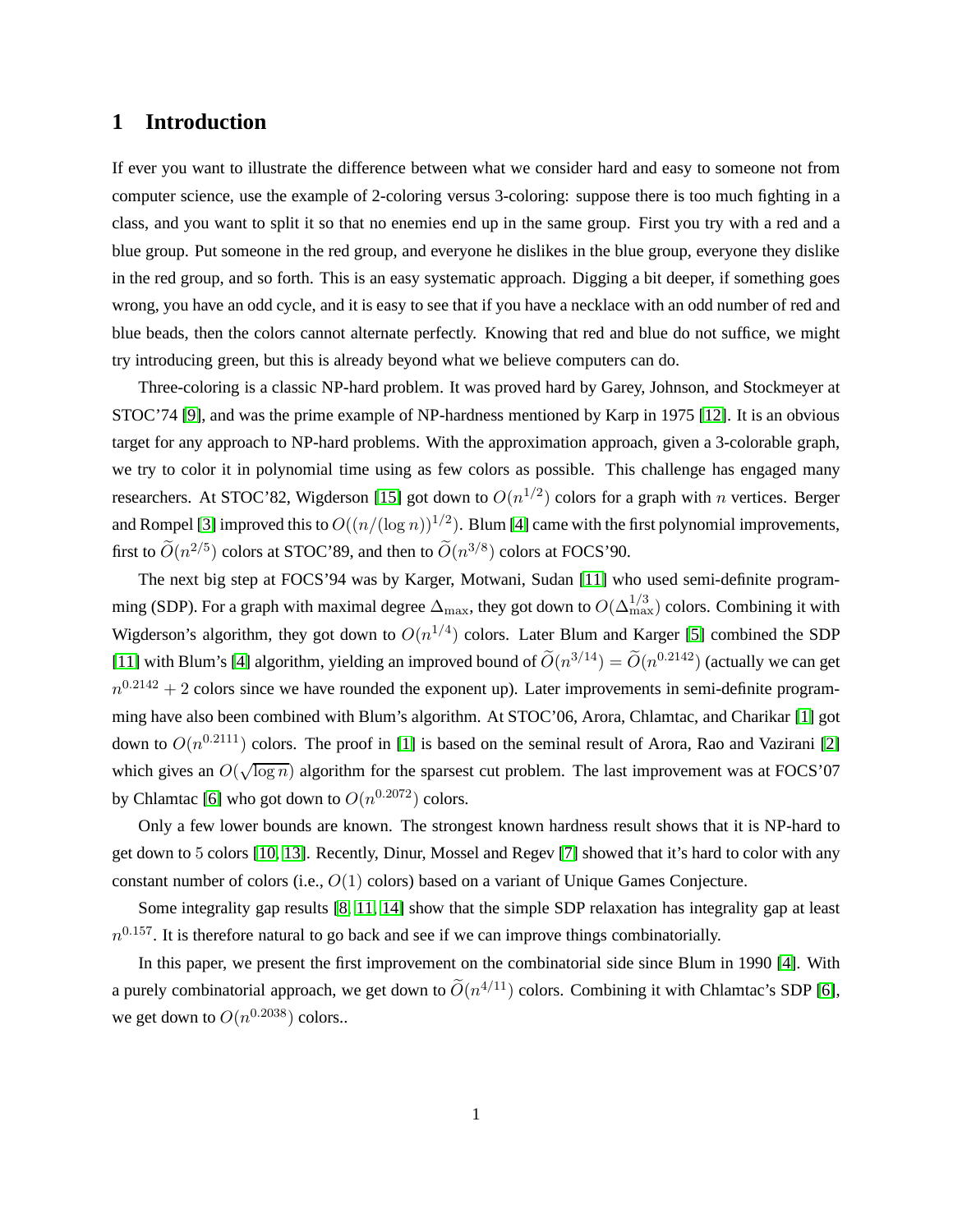### **1 Introduction**

If ever you want to illustrate the difference between what we consider hard and easy to someone not from computer science, use the example of 2-coloring versus 3-coloring: suppose there is too much fighting in a class, and you want to split it so that no enemies end up in the same group. First you try with a red and a blue group. Put someone in the red group, and everyone he dislikes in the blue group, everyone they dislike in the red group, and so forth. This is an easy systematic approach. Digging a bit deeper, if something goes wrong, you have an odd cycle, and it is easy to see that if you have a necklace with an odd number of red and blue beads, then the colors cannot alternate perfectly. Knowing that red and blue do not suffice, we might try introducing green, but this is already beyond what we believe computers can do.

Three-coloring is a classic NP-hard problem. It was proved hard by Garey, Johnson, and Stockmeyer at STOC'74 [\[9\]](#page-12-0), and was the prime example of NP-hardness mentioned by Karp in 1975 [\[12\]](#page-12-1). It is an obvious target for any approach to NP-hard problems. With the approximation approach, given a 3-colorable graph, we try to color it in polynomial time using as few colors as possible. This challenge has engaged many researchers. At STOC'82, Wigderson [\[15\]](#page-12-2) got down to  $O(n^{1/2})$  colors for a graph with n vertices. Berger and Rompel [\[3\]](#page-12-3) improved this to  $O((n/(\log n))^{1/2})$ . Blum [\[4\]](#page-12-4) came with the first polynomial improvements, first to  $\widetilde{O}(n^{2/5})$  colors at STOC'89, and then to  $\widetilde{O}(n^{3/8})$  colors at FOCS'90.

The next big step at FOCS'94 was by Karger, Motwani, Sudan [\[11\]](#page-12-5) who used semi-definite programming (SDP). For a graph with maximal degree  $\Delta_{\max}$ , they got down to  $O(\Delta_{\max}^{1/3})$  colors. Combining it with Wigderson's algorithm, they got down to  $O(n^{1/4})$  colors. Later Blum and Karger [\[5\]](#page-12-6) combined the SDP [\[11\]](#page-12-5) with Blum's [\[4\]](#page-12-4) algorithm, yielding an improved bound of  $\tilde{O}(n^{3/14}) = \tilde{O}(n^{0.2142})$  (actually we can get  $n^{0.2142} + 2$  colors since we have rounded the exponent up). Later improvements in semi-definite programming have also been combined with Blum's algorithm. At STOC'06, Arora, Chlamtac, and Charikar [\[1\]](#page-11-0) got down to  $O(n^{0.2111})$  colors. The proof in [\[1\]](#page-11-0) is based on the seminal result of Arora, Rao and Vazirani [\[2\]](#page-11-1) which gives an  $O(\sqrt{\log n})$  algorithm for the sparsest cut problem. The last improvement was at FOCS'07 by Chlamtac [\[6\]](#page-12-7) who got down to  $O(n^{0.2072})$  colors.

Only a few lower bounds are known. The strongest known hardness result shows that it is NP-hard to get down to 5 colors [\[10,](#page-12-8) [13\]](#page-12-9). Recently, Dinur, Mossel and Regev [\[7\]](#page-12-10) showed that it's hard to color with any constant number of colors (i.e.,  $O(1)$  colors) based on a variant of Unique Games Conjecture.

Some integrality gap results [\[8,](#page-12-11) [11,](#page-12-5) [14\]](#page-12-12) show that the simple SDP relaxation has integrality gap at least  $n^{0.157}$ . It is therefore natural to go back and see if we can improve things combinatorially.

In this paper, we present the first improvement on the combinatorial side since Blum in 1990 [\[4\]](#page-12-4). With a purely combinatorial approach, we get down to  $\tilde{O}(n^{4/11})$  colors. Combining it with Chlamtac's SDP [\[6\]](#page-12-7), we get down to  $O(n^{0.2038})$  colors..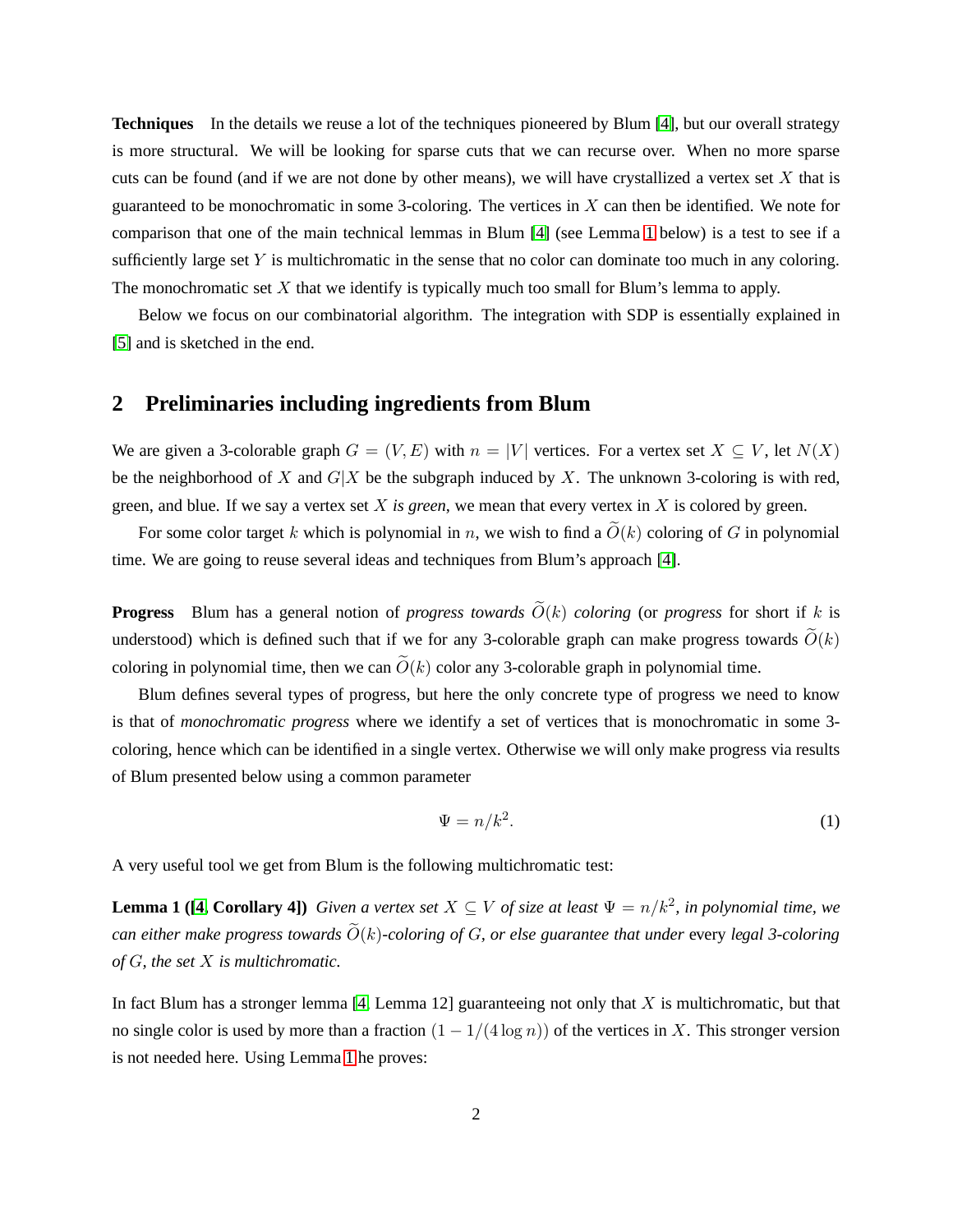**Techniques** In the details we reuse a lot of the techniques pioneered by Blum [\[4\]](#page-12-4), but our overall strategy is more structural. We will be looking for sparse cuts that we can recurse over. When no more sparse cuts can be found (and if we are not done by other means), we will have crystallized a vertex set  $X$  that is guaranteed to be monochromatic in some 3-coloring. The vertices in  $X$  can then be identified. We note for comparison that one of the main technical lemmas in Blum [\[4\]](#page-12-4) (see Lemma [1](#page-2-0) below) is a test to see if a sufficiently large set  $Y$  is multichromatic in the sense that no color can dominate too much in any coloring. The monochromatic set  $X$  that we identify is typically much too small for Blum's lemma to apply.

Below we focus on our combinatorial algorithm. The integration with SDP is essentially explained in [\[5\]](#page-12-6) and is sketched in the end.

#### <span id="page-2-2"></span>**2 Preliminaries including ingredients from Blum**

We are given a 3-colorable graph  $G = (V, E)$  with  $n = |V|$  vertices. For a vertex set  $X \subseteq V$ , let  $N(X)$ be the neighborhood of X and  $G|X$  be the subgraph induced by X. The unknown 3-coloring is with red, green, and blue. If we say a vertex set X *is green*, we mean that every vertex in X is colored by green.

For some color target k which is polynomial in n, we wish to find a  $\tilde{O}(k)$  coloring of G in polynomial time. We are going to reuse several ideas and techniques from Blum's approach [\[4\]](#page-12-4).

**Progress** Blum has a general notion of *progress towards*  $\widetilde{O}(k)$  *coloring* (or *progress* for short if k is understood) which is defined such that if we for any 3-colorable graph can make progress towards  $\tilde{O}(k)$ coloring in polynomial time, then we can  $\tilde{O}(k)$  color any 3-colorable graph in polynomial time.

Blum defines several types of progress, but here the only concrete type of progress we need to know is that of *monochromatic progress* where we identify a set of vertices that is monochromatic in some 3 coloring, hence which can be identified in a single vertex. Otherwise we will only make progress via results of Blum presented below using a common parameter

<span id="page-2-1"></span><span id="page-2-0"></span>
$$
\Psi = n/k^2. \tag{1}
$$

A very useful tool we get from Blum is the following multichromatic test:

**Lemma 1 ([\[4,](#page-12-4) Corollary 4])** *Given a vertex set*  $X \subseteq V$  *of size at least*  $\Psi = n/k^2$ *, in polynomial time, we can either make progress towards*  $\widetilde{O}(k)$ -coloring of G, or else guarantee that under every legal 3-coloring *of* G*, the set* X *is multichromatic.*

In fact Blum has a stronger lemma  $[4,$  Lemma 12] guaranteeing not only that X is multichromatic, but that no single color is used by more than a fraction  $(1 - 1/(4 \log n))$  of the vertices in X. This stronger version is not needed here. Using Lemma [1](#page-2-0) he proves: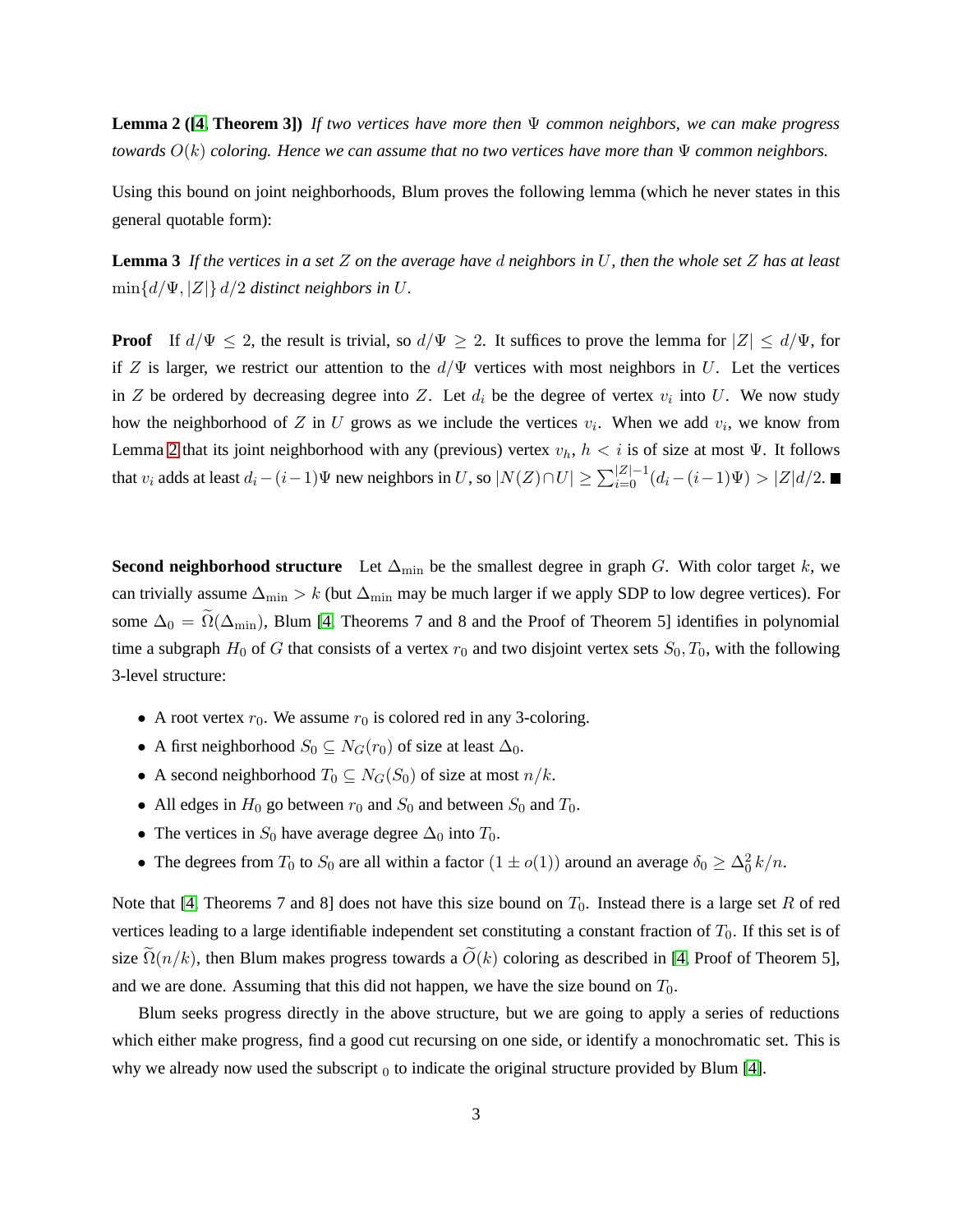**Lemma 2 ([\[4,](#page-12-4) Theorem 3])** *If two vertices have more then* Ψ *common neighbors, we can make progress towards*  $O(k)$  *coloring. Hence we can assume that no two vertices have more than*  $\Psi$  *common neighbors.* 

<span id="page-3-0"></span>Using this bound on joint neighborhoods, Blum proves the following lemma (which he never states in this general quotable form):

**Lemma 3** *If the vertices in a set* Z *on the average have* d *neighbors in* U*, then the whole set* Z *has at least*  $\min\{d/\Psi, |Z|\} d/2$  *distinct neighbors in U.* 

**Proof** If  $d/\Psi \leq 2$ , the result is trivial, so  $d/\Psi \geq 2$ . It suffices to prove the lemma for  $|Z| \leq d/\Psi$ , for if Z is larger, we restrict our attention to the  $d/\Psi$  vertices with most neighbors in U. Let the vertices in Z be ordered by decreasing degree into Z. Let  $d_i$  be the degree of vertex  $v_i$  into U. We now study how the neighborhood of Z in U grows as we include the vertices  $v_i$ . When we add  $v_i$ , we know from Lemma [2](#page-2-1) that its joint neighborhood with any (previous) vertex  $v_h$ ,  $h < i$  is of size at most  $\Psi$ . It follows that  $v_i$  adds at least  $d_i - (i-1)\Psi$  new neighbors in U, so  $|N(Z) \cap U| \ge \sum_{i=0}^{|Z|-1} (d_i - (i-1)\Psi) > |Z|d/2$ .

**Second neighborhood structure** Let  $\Delta_{\text{min}}$  be the smallest degree in graph G. With color target k, we can trivially assume  $\Delta_{\text{min}} > k$  (but  $\Delta_{\text{min}}$  may be much larger if we apply SDP to low degree vertices). For some  $\Delta_0 = \Omega(\Delta_{\text{min}})$ , Blum [\[4,](#page-12-4) Theorems 7 and 8 and the Proof of Theorem 5] identifies in polynomial time a subgraph  $H_0$  of G that consists of a vertex  $r_0$  and two disjoint vertex sets  $S_0, T_0$ , with the following 3-level structure:

- A root vertex  $r_0$ . We assume  $r_0$  is colored red in any 3-coloring.
- A first neighborhood  $S_0 \subseteq N_G(r_0)$  of size at least  $\Delta_0$ .
- A second neighborhood  $T_0 \subseteq N_G(S_0)$  of size at most  $n/k$ .
- All edges in  $H_0$  go between  $r_0$  and  $S_0$  and between  $S_0$  and  $T_0$ .
- The vertices in  $S_0$  have average degree  $\Delta_0$  into  $T_0$ .
- The degrees from  $T_0$  to  $S_0$  are all within a factor  $(1 \pm o(1))$  around an average  $\delta_0 \geq \Delta_0^2 k/n$ .

Note that [\[4,](#page-12-4) Theorems 7 and 8] does not have this size bound on  $T_0$ . Instead there is a large set R of red vertices leading to a large identifiable independent set constituting a constant fraction of  $T_0$ . If this set is of size  $\tilde{\Omega}(n/k)$ , then Blum makes progress towards a  $\tilde{O}(k)$  coloring as described in [\[4,](#page-12-4) Proof of Theorem 5], and we are done. Assuming that this did not happen, we have the size bound on  $T_0$ .

Blum seeks progress directly in the above structure, but we are going to apply a series of reductions which either make progress, find a good cut recursing on one side, or identify a monochromatic set. This is why we already now used the subscript  $_0$  to indicate the original structure provided by Blum [\[4\]](#page-12-4).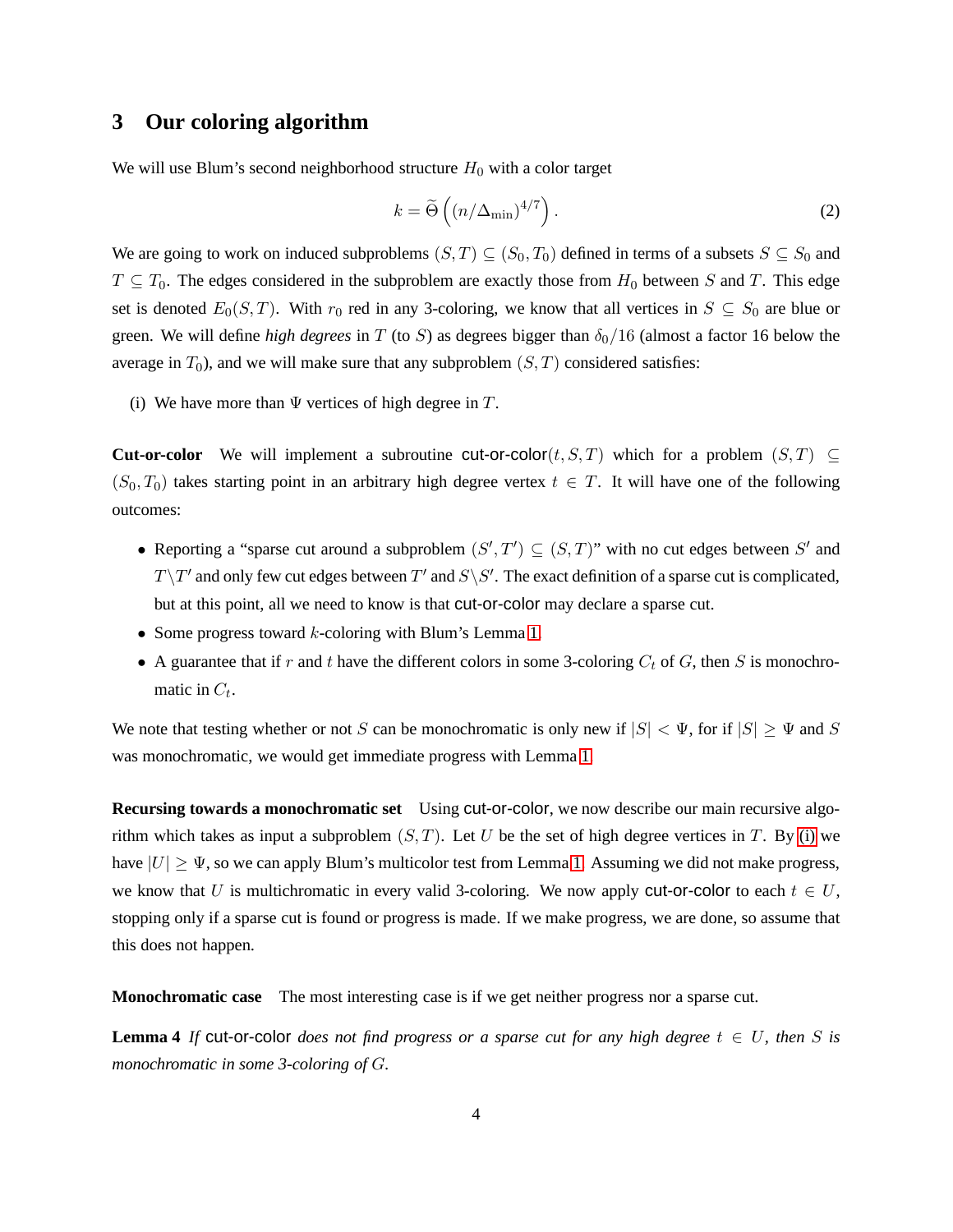# **3 Our coloring algorithm**

We will use Blum's second neighborhood structure  $H_0$  with a color target

<span id="page-4-1"></span>
$$
k = \widetilde{\Theta}\left((n/\Delta_{\min})^{4/7}\right). \tag{2}
$$

We are going to work on induced subproblems  $(S, T) \subseteq (S_0, T_0)$  defined in terms of a subsets  $S \subseteq S_0$  and  $T \subseteq T_0$ . The edges considered in the subproblem are exactly those from  $H_0$  between S and T. This edge set is denoted  $E_0(S, T)$ . With  $r_0$  red in any 3-coloring, we know that all vertices in  $S \subseteq S_0$  are blue or green. We will define *high degrees* in T (to S) as degrees bigger than  $\delta_0/16$  (almost a factor 16 below the average in  $T_0$ ), and we will make sure that any subproblem  $(S, T)$  considered satisfies:

<span id="page-4-0"></span>(i) We have more than  $\Psi$  vertices of high degree in  $T$ .

**Cut-or-color** We will implement a subroutine cut-or-color $(t, S, T)$  which for a problem  $(S, T) \subset$  $(S_0, T_0)$  takes starting point in an arbitrary high degree vertex  $t \in T$ . It will have one of the following outcomes:

- Reporting a "sparse cut around a subproblem  $(S', T') \subseteq (S, T)$ " with no cut edges between S' and  $T \setminus T'$  and only few cut edges between  $T'$  and  $S \setminus S'$ . The exact definition of a sparse cut is complicated, but at this point, all we need to know is that cut-or-color may declare a sparse cut.
- Some progress toward  $k$ -coloring with Blum's Lemma [1.](#page-2-0)
- A guarantee that if r and t have the different colors in some 3-coloring  $C_t$  of G, then S is monochromatic in  $C_t$ .

We note that testing whether or not S can be monochromatic is only new if  $|S| < \Psi$ , for if  $|S| \ge \Psi$  and S was monochromatic, we would get immediate progress with Lemma [1.](#page-2-0)

**Recursing towards a monochromatic set** Using cut-or-color, we now describe our main recursive algorithm which takes as input a subproblem  $(S, T)$ . Let U be the set of high degree vertices in T. By [\(i\)](#page-4-0) we have  $|U| \geq \Psi$ , so we can apply Blum's multicolor test from Lemma [1.](#page-2-0) Assuming we did not make progress, we know that U is multichromatic in every valid 3-coloring. We now apply cut-or-color to each  $t \in U$ , stopping only if a sparse cut is found or progress is made. If we make progress, we are done, so assume that this does not happen.

**Monochromatic case** The most interesting case is if we get neither progress nor a sparse cut.

**Lemma 4** If cut-or-color *does not find progress or a sparse cut for any high degree*  $t \in U$ *, then* S *is monochromatic in some 3-coloring of* G*.*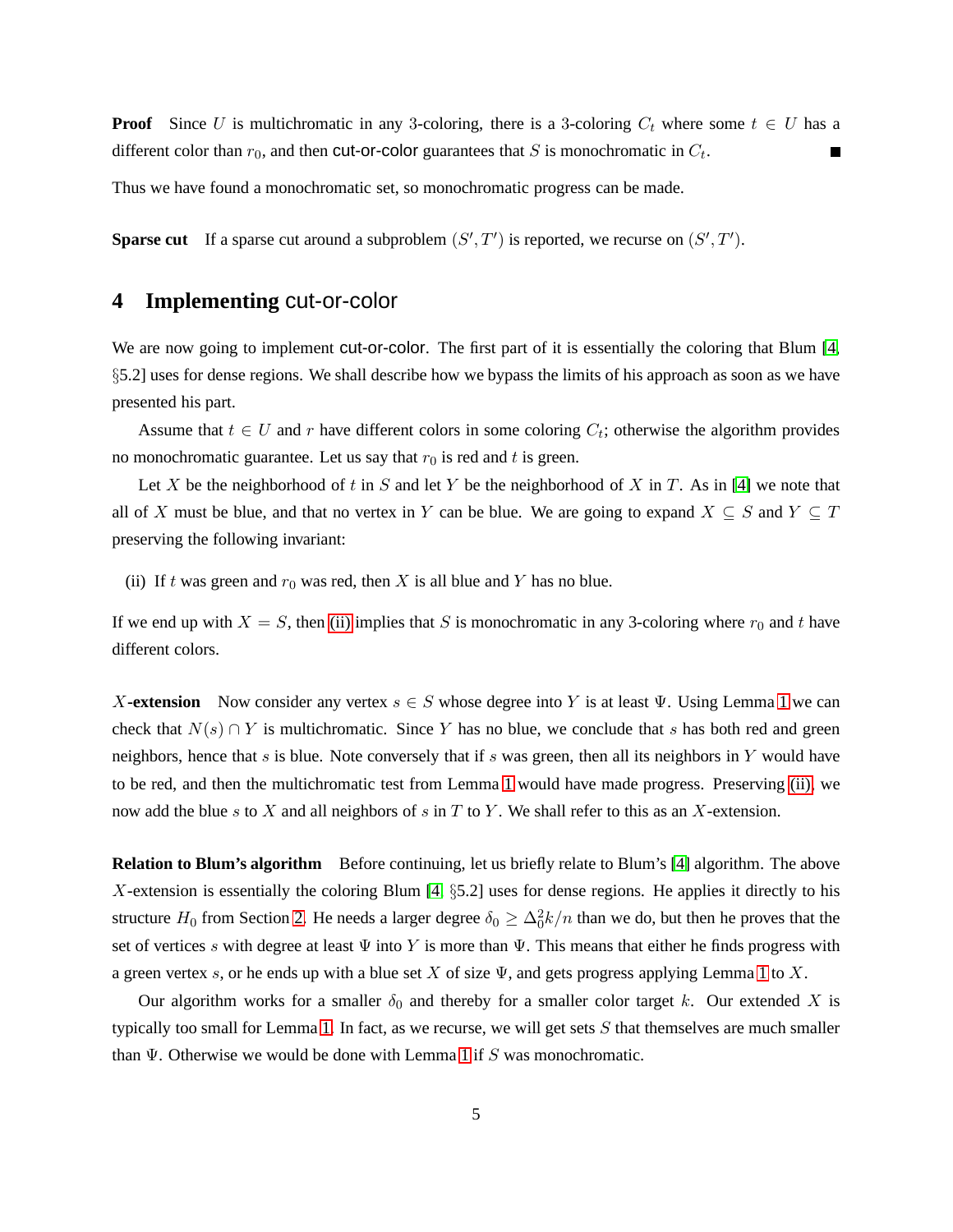**Proof** Since U is multichromatic in any 3-coloring, there is a 3-coloring  $C_t$  where some  $t \in U$  has a different color than  $r_0$ , and then **cut-or-color** guarantees that S is monochromatic in  $C_t$ .

Thus we have found a monochromatic set, so monochromatic progress can be made.

**Sparse cut** If a sparse cut around a subproblem  $(S', T')$  is reported, we recurse on  $(S', T')$ .

# **4 Implementing** cut-or-color

We are now going to implement cut-or-color. The first part of it is essentially the coloring that Blum [\[4,](#page-12-4) §5.2] uses for dense regions. We shall describe how we bypass the limits of his approach as soon as we have presented his part.

Assume that  $t \in U$  and r have different colors in some coloring  $C_t$ ; otherwise the algorithm provides no monochromatic guarantee. Let us say that  $r_0$  is red and t is green.

Let X be the neighborhood of t in S and let Y be the neighborhood of X in T. As in [\[4\]](#page-12-4) we note that all of X must be blue, and that no vertex in Y can be blue. We are going to expand  $X \subseteq S$  and  $Y \subseteq T$ preserving the following invariant:

<span id="page-5-0"></span>(ii) If t was green and  $r_0$  was red, then X is all blue and Y has no blue.

If we end up with  $X = S$ , then [\(ii\)](#page-5-0) implies that S is monochromatic in any 3-coloring where  $r_0$  and t have different colors.

X**-extension** Now consider any vertex  $s \in S$  whose degree into Y is at least  $\Psi$ . Using Lemma [1](#page-2-0) we can check that  $N(s) \cap Y$  is multichromatic. Since Y has no blue, we conclude that s has both red and green neighbors, hence that  $s$  is blue. Note conversely that if  $s$  was green, then all its neighbors in  $Y$  would have to be red, and then the multichromatic test from Lemma [1](#page-2-0) would have made progress. Preserving [\(ii\),](#page-5-0) we now add the blue s to X and all neighbors of s in T to Y. We shall refer to this as an X-extension.

**Relation to Blum's algorithm** Before continuing, let us briefly relate to Blum's [\[4\]](#page-12-4) algorithm. The above X-extension is essentially the coloring Blum  $[4, §5.2]$  uses for dense regions. He applies it directly to his structure  $H_0$  from Section [2.](#page-2-2) He needs a larger degree  $\delta_0 \geq \Delta_0^2 k/n$  than we do, but then he proves that the set of vertices s with degree at least  $\Psi$  into Y is more than  $\Psi$ . This means that either he finds progress with a green vertex s, or he ends up with a blue set X of size  $\Psi$ , and gets progress applying Lemma [1](#page-2-0) to X.

Our algorithm works for a smaller  $\delta_0$  and thereby for a smaller color target k. Our extended X is typically too small for Lemma [1.](#page-2-0) In fact, as we recurse, we will get sets  $S$  that themselves are much smaller than  $\Psi$ . Otherwise we would be done with Lemma [1](#page-2-0) if S was monochromatic.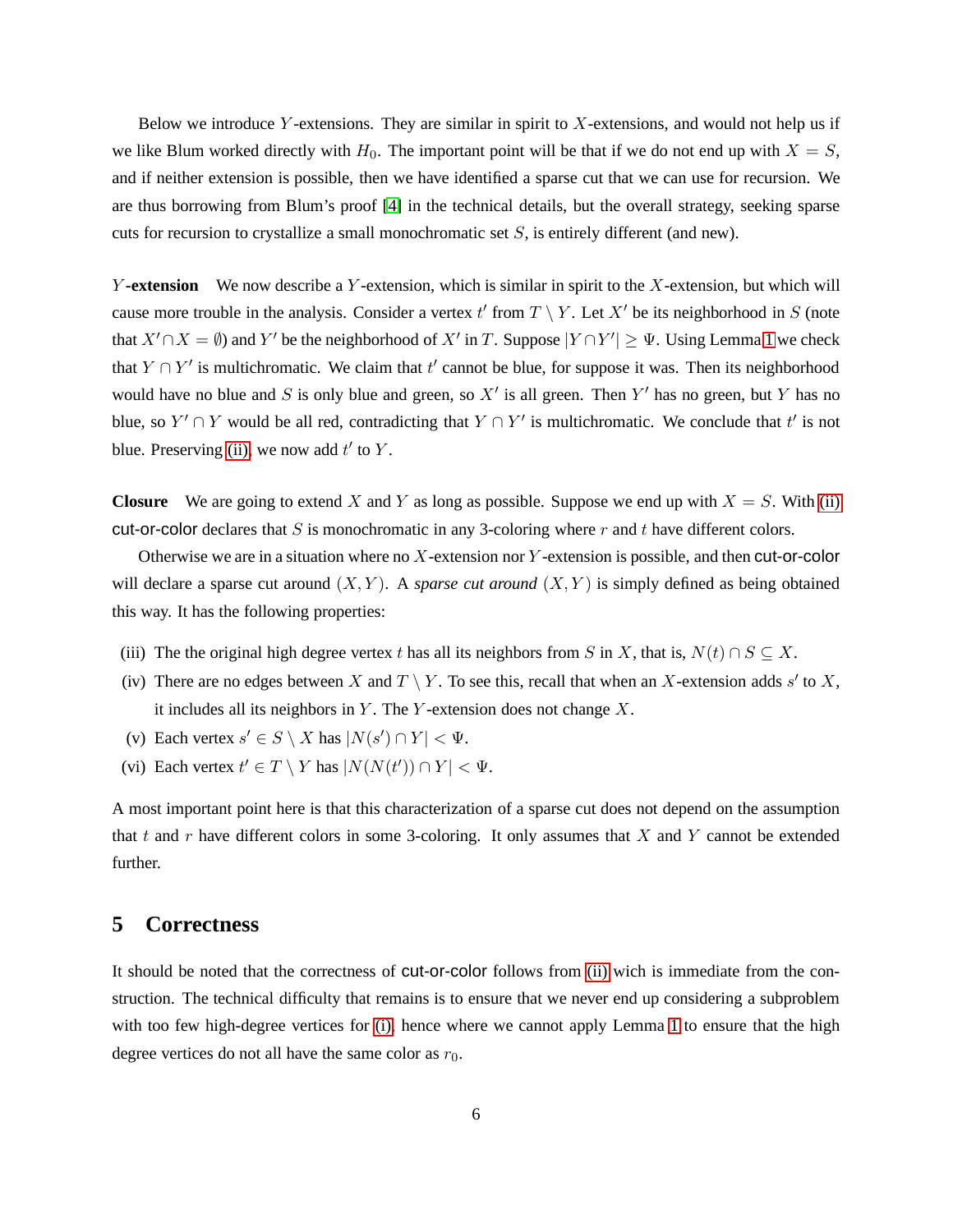Below we introduce Y-extensions. They are similar in spirit to  $X$ -extensions, and would not help us if we like Blum worked directly with  $H_0$ . The important point will be that if we do not end up with  $X = S$ , and if neither extension is possible, then we have identified a sparse cut that we can use for recursion. We are thus borrowing from Blum's proof [\[4\]](#page-12-4) in the technical details, but the overall strategy, seeking sparse cuts for recursion to crystallize a small monochromatic set  $S$ , is entirely different (and new).

Y-extension We now describe a Y-extension, which is similar in spirit to the X-extension, but which will cause more trouble in the analysis. Consider a vertex  $t'$  from  $T \setminus Y$ . Let  $X'$  be its neighborhood in S (note that  $X' \cap X = \emptyset$ ) and Y' be the neighborhood of  $X'$  in T. Suppose  $|Y \cap Y'| \ge \Psi$ . Using Lemma [1](#page-2-0) we check that  $Y \cap Y'$  is multichromatic. We claim that  $t'$  cannot be blue, for suppose it was. Then its neighborhood would have no blue and S is only blue and green, so  $X'$  is all green. Then Y' has no green, but Y has no blue, so  $Y' \cap Y$  would be all red, contradicting that  $Y \cap Y'$  is multichromatic. We conclude that  $t'$  is not blue. Preserving [\(ii\),](#page-5-0) we now add  $t'$  to  $Y$ .

**Closure** We are going to extend X and Y as long as possible. Suppose we end up with  $X = S$ . With [\(ii\)](#page-5-0) cut-or-color declares that S is monochromatic in any 3-coloring where  $r$  and  $t$  have different colors.

Otherwise we are in a situation where no  $X$ -extension nor  $Y$ -extension is possible, and then cut-or-color will declare a sparse cut around  $(X, Y)$ . A *sparse cut around*  $(X, Y)$  is simply defined as being obtained this way. It has the following properties:

- <span id="page-6-1"></span><span id="page-6-0"></span>(iii) The the original high degree vertex t has all its neighbors from S in X, that is,  $N(t) \cap S \subseteq X$ .
- <span id="page-6-2"></span>(iv) There are no edges between X and  $T \setminus Y$ . To see this, recall that when an X-extension adds s' to X, it includes all its neighbors in  $Y$ . The  $Y$ -extension does not change  $X$ .
- <span id="page-6-3"></span>(v) Each vertex  $s' \in S \setminus X$  has  $|N(s') \cap Y| < \Psi$ .
- (vi) Each vertex  $t' \in T \setminus Y$  has  $|N(N(t')) \cap Y| < \Psi$ .

A most important point here is that this characterization of a sparse cut does not depend on the assumption that t and r have different colors in some 3-coloring. It only assumes that X and Y cannot be extended further.

## **5 Correctness**

It should be noted that the correctness of cut-or-color follows from [\(ii\)](#page-5-0) wich is immediate from the construction. The technical difficulty that remains is to ensure that we never end up considering a subproblem with too few high-degree vertices for [\(i\),](#page-4-0) hence where we cannot apply Lemma [1](#page-2-0) to ensure that the high degree vertices do not all have the same color as  $r_0$ .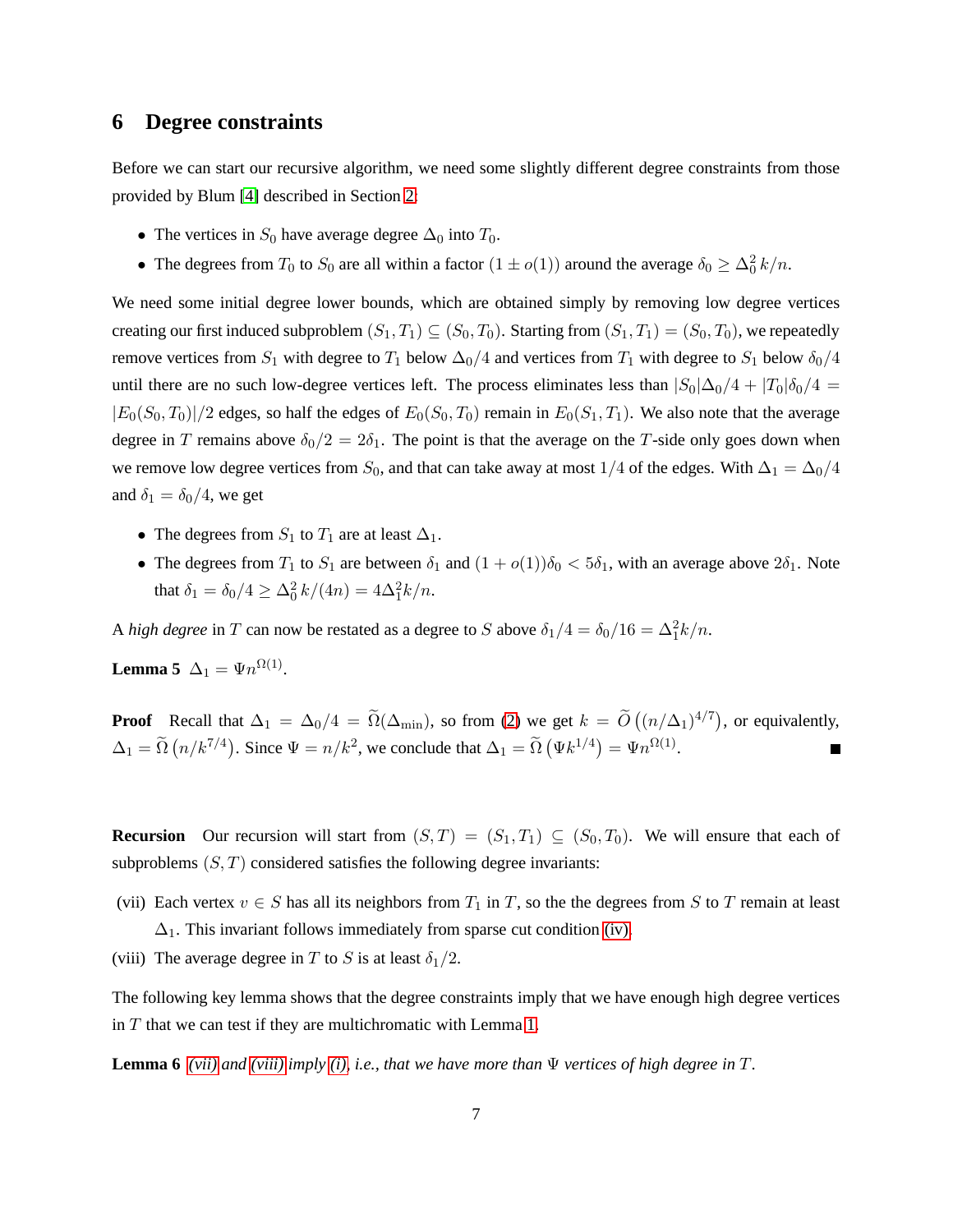#### **6 Degree constraints**

Before we can start our recursive algorithm, we need some slightly different degree constraints from those provided by Blum [\[4\]](#page-12-4) described in Section [2:](#page-2-2)

- The vertices in  $S_0$  have average degree  $\Delta_0$  into  $T_0$ .
- The degrees from  $T_0$  to  $S_0$  are all within a factor  $(1 \pm o(1))$  around the average  $\delta_0 \geq \Delta_0^2 k/n$ .

We need some initial degree lower bounds, which are obtained simply by removing low degree vertices creating our first induced subproblem  $(S_1, T_1) \subseteq (S_0, T_0)$ . Starting from  $(S_1, T_1) = (S_0, T_0)$ , we repeatedly remove vertices from  $S_1$  with degree to  $T_1$  below  $\Delta_0/4$  and vertices from  $T_1$  with degree to  $S_1$  below  $\delta_0/4$ until there are no such low-degree vertices left. The process eliminates less than  $|S_0|\Delta_0/4 + |T_0|\delta_0/4 =$  $|E_0(S_0, T_0)|/2$  edges, so half the edges of  $E_0(S_0, T_0)$  remain in  $E_0(S_1, T_1)$ . We also note that the average degree in T remains above  $\delta_0/2 = 2\delta_1$ . The point is that the average on the T-side only goes down when we remove low degree vertices from  $S_0$ , and that can take away at most 1/4 of the edges. With  $\Delta_1 = \Delta_0/4$ and  $\delta_1 = \delta_0/4$ , we get

- The degrees from  $S_1$  to  $T_1$  are at least  $\Delta_1$ .
- <span id="page-7-2"></span>• The degrees from  $T_1$  to  $S_1$  are between  $\delta_1$  and  $(1 + o(1))\delta_0 < 5\delta_1$ , with an average above  $2\delta_1$ . Note that  $\delta_1 = \delta_0/4 \ge \frac{\Delta_0^2 k}{4n} = 4\frac{\Delta_1^2 k}{n}$ .

A *high degree* in T can now be restated as a degree to S above  $\delta_1/4 = \delta_0/16 = \Delta_1^2 k/n$ .

**Lemma 5**  $\Delta_1 = \Psi n^{\Omega(1)}$ .

**Proof** Recall that  $\Delta_1 = \Delta_0/4 = \tilde{\Omega}(\Delta_{\min})$ , so from [\(2\)](#page-4-1) we get  $k = \tilde{O}((n/\Delta_1)^{4/7})$ , or equivalently,  $\Delta_1 = \widetilde{\Omega}(n/k^{7/4})$ . Since  $\Psi = n/k^2$ , we conclude that  $\Delta_1 = \widetilde{\Omega}(\Psi k^{1/4}) = \Psi n^{\Omega(1)}$ .

**Recursion** Our recursion will start from  $(S, T) = (S_1, T_1) \subseteq (S_0, T_0)$ . We will ensure that each of subproblems  $(S, T)$  considered satisfies the following degree invariants:

- <span id="page-7-1"></span><span id="page-7-0"></span>(vii) Each vertex  $v \in S$  has all its neighbors from  $T_1$  in T, so the the degrees from S to T remain at least  $\Delta_1$ . This invariant follows immediately from sparse cut condition [\(iv\).](#page-6-0)
- (viii) The average degree in T to S is at least  $\delta_1/2$ .

The following key lemma shows that the degree constraints imply that we have enough high degree vertices in  $T$  that we can test if they are multichromatic with Lemma [1.](#page-2-0)

**Lemma 6** *[\(vii\)](#page-7-0)* and *(viii) imply (i), i.e., that we have more than*  $\Psi$  *vertices of high degree in*  $T$ *.*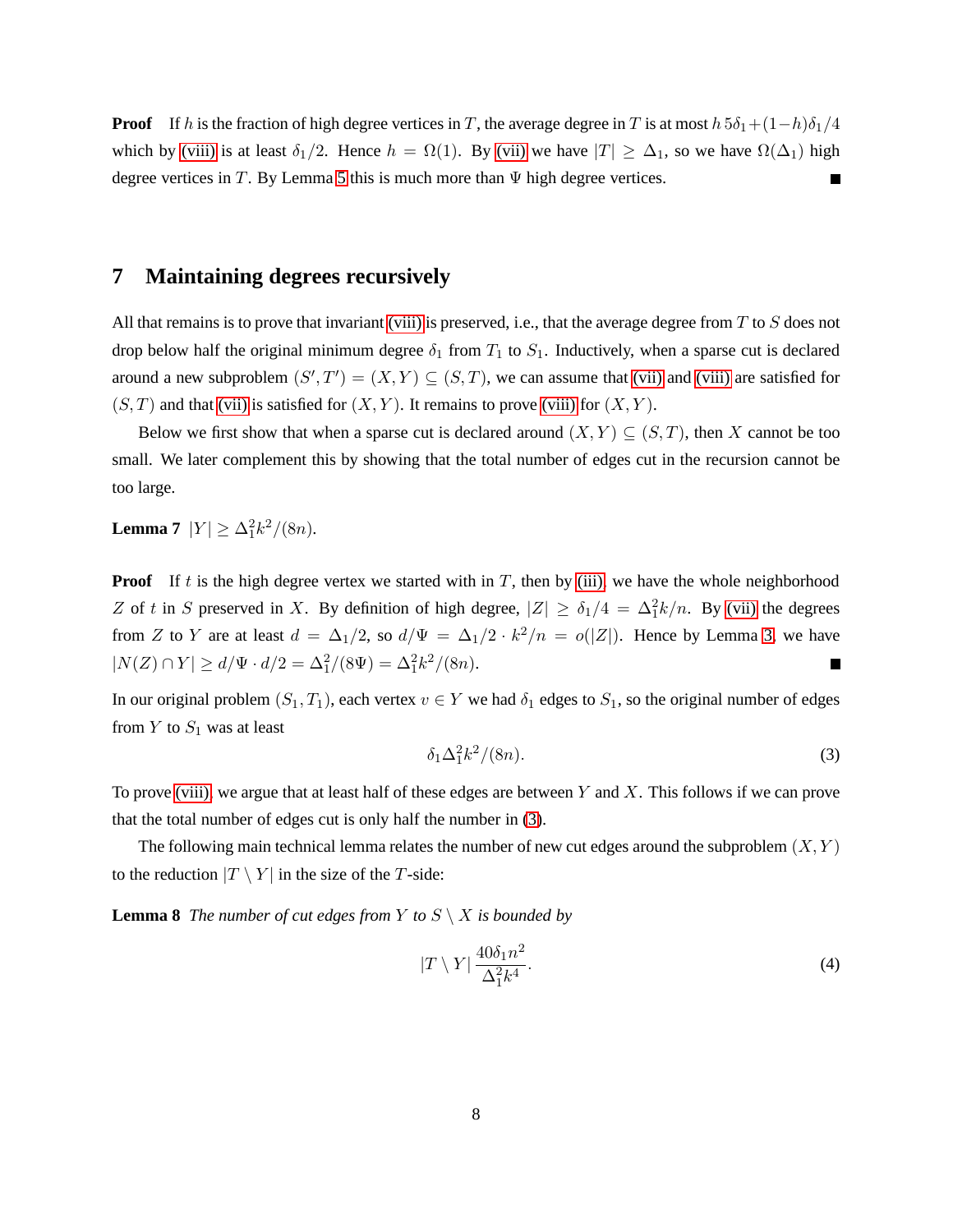**Proof** If h is the fraction of high degree vertices in T, the average degree in T is at most  $h \cdot 5\delta_1 + (1-h)\delta_1/4$ which by [\(viii\)](#page-7-1) is at least  $\delta_1/2$ . Hence  $h = \Omega(1)$ . By [\(vii\)](#page-7-0) we have  $|T| \geq \Delta_1$ , so we have  $\Omega(\Delta_1)$  high degree vertices in  $T$ . By Lemma [5](#page-7-2) this is much more than  $\Psi$  high degree vertices.

# **7 Maintaining degrees recursively**

All that remains is to prove that invariant [\(viii\)](#page-7-1) is preserved, i.e., that the average degree from  $T$  to  $S$  does not drop below half the original minimum degree  $\delta_1$  from  $T_1$  to  $S_1$ . Inductively, when a sparse cut is declared around a new subproblem  $(S',T') = (X,Y) \subseteq (S,T)$ , we can assume that [\(vii\)](#page-7-0) and [\(viii\)](#page-7-1) are satisfied for  $(S, T)$  and that [\(vii\)](#page-7-0) is satisfied for  $(X, Y)$ . It remains to prove [\(viii\)](#page-7-1) for  $(X, Y)$ .

Below we first show that when a sparse cut is declared around  $(X, Y) \subseteq (S, T)$ , then X cannot be too small. We later complement this by showing that the total number of edges cut in the recursion cannot be too large.

**Lemma 7**  $|Y| \ge \frac{\Delta_1^2 k^2}{(8n)}$ .

**Proof** If t is the high degree vertex we started with in  $T$ , then by [\(iii\),](#page-6-1) we have the whole neighborhood Z of t in S preserved in X. By definition of high degree,  $|Z| \ge \delta_1/4 = \Delta_1^2 k/n$ . By [\(vii\)](#page-7-0) the degrees from Z to Y are at least  $d = \Delta_1/2$ , so  $d/\Psi = \Delta_1/2 \cdot k^2/n = o(|Z|)$ . Hence by Lemma [3,](#page-3-0) we have  $|N(Z) \cap Y| \ge d/\Psi \cdot d/2 = \Delta_1^2/(8\Psi) = \Delta_1^2 k^2/(8n).$  $\overline{\phantom{a}}$ 

In our original problem  $(S_1, T_1)$ , each vertex  $v \in Y$  we had  $\delta_1$  edges to  $S_1$ , so the original number of edges from  $Y$  to  $S_1$  was at least

<span id="page-8-0"></span>
$$
\delta_1 \Delta_1^2 k^2 / (8n). \tag{3}
$$

To prove [\(viii\),](#page-7-1) we argue that at least half of these edges are between Y and X. This follows if we can prove that the total number of edges cut is only half the number in [\(3\)](#page-8-0).

The following main technical lemma relates the number of new cut edges around the subproblem  $(X, Y)$ to the reduction  $|T \setminus Y|$  in the size of the T-side:

**Lemma 8** *The number of cut edges from*  $Y$  *to*  $S \setminus X$  *is bounded by* 

<span id="page-8-2"></span><span id="page-8-1"></span>
$$
|T \setminus Y| \frac{40\delta_1 n^2}{\Delta_1^2 k^4}.
$$
 (4)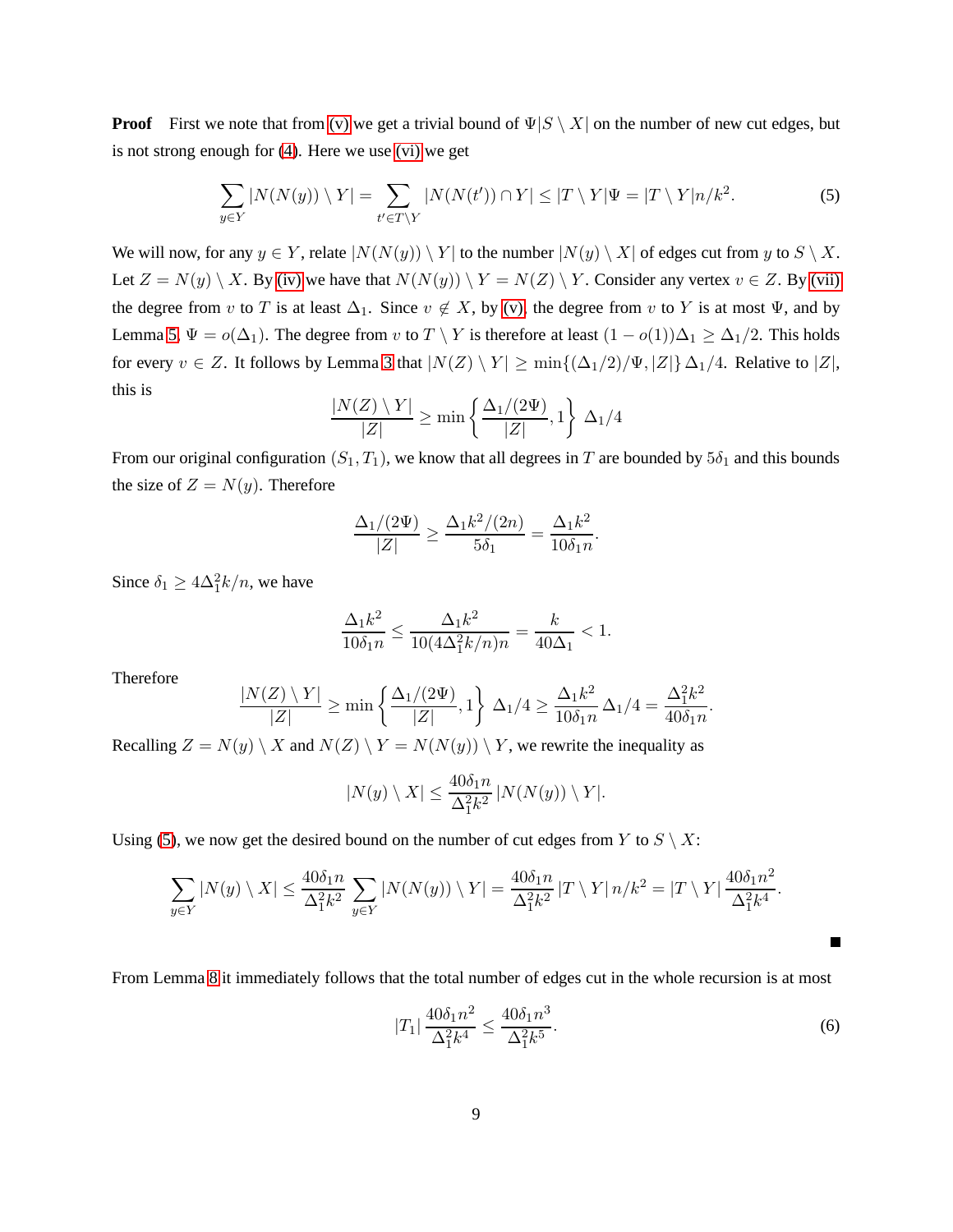**Proof** First we note that from [\(v\)](#page-6-2) we get a trivial bound of  $\Psi|S \setminus X|$  on the number of new cut edges, but is not strong enough for [\(4\)](#page-8-1). Here we use [\(vi\)](#page-6-3) we get

<span id="page-9-0"></span>
$$
\sum_{y \in Y} |N(N(y)) \setminus Y| = \sum_{t' \in T \setminus Y} |N(N(t')) \cap Y| \le |T \setminus Y|\Psi = |T \setminus Y|n/k^2. \tag{5}
$$

We will now, for any  $y \in Y$ , relate  $|N(N(y)) \setminus Y|$  to the number  $|N(y) \setminus X|$  of edges cut from y to  $S \setminus X$ . Let  $Z = N(y) \setminus X$ . By [\(iv\)](#page-6-0) we have that  $N(N(y)) \setminus Y = N(Z) \setminus Y$ . Consider any vertex  $v \in Z$ . By [\(vii\)](#page-7-0) the degree from v to T is at least  $\Delta_1$ . Since  $v \notin X$ , by [\(v\),](#page-6-2) the degree from v to Y is at most  $\Psi$ , and by Lemma [5,](#page-7-2)  $\Psi = o(\Delta_1)$ . The degree from v to  $T \setminus Y$  is therefore at least  $(1 - o(1))\Delta_1 \ge \Delta_1/2$ . This holds for every  $v \in Z$ . It follows by Lemma [3](#page-3-0) that  $|N(Z) \setminus Y| \ge \min\{(\Delta_1/2)/\Psi, |Z|\} \Delta_1/4$ . Relative to  $|Z|$ , this is

$$
\frac{|N(Z)\setminus Y|}{|Z|}\geq \min\left\{\frac{\Delta_1/(2\Psi)}{|Z|},1\right\}\,\Delta_1/4
$$

From our original configuration  $(S_1, T_1)$ , we know that all degrees in T are bounded by  $5\delta_1$  and this bounds the size of  $Z = N(y)$ . Therefore

$$
\frac{\Delta_1/(2\Psi)}{|Z|} \ge \frac{\Delta_1 k^2/(2n)}{5\delta_1} = \frac{\Delta_1 k^2}{10\delta_1 n}.
$$

Since  $\delta_1 \geq 4\Delta_1^2 k/n$ , we have

$$
\frac{\Delta_1 k^2}{10\delta_1 n} \le \frac{\Delta_1 k^2}{10(4\Delta_1^2 k/n)n} = \frac{k}{40\Delta_1} < 1.
$$

Therefore

$$
\frac{|N(Z) \setminus Y|}{|Z|} \ge \min\left\{\frac{\Delta_1/(2\Psi)}{|Z|}, 1\right\} \Delta_1/4 \ge \frac{\Delta_1 k^2}{10\delta_1 n} \Delta_1/4 = \frac{\Delta_1^2 k^2}{40\delta_1 n}.
$$

Recalling  $Z = N(y) \setminus X$  and  $N(Z) \setminus Y = N(N(y)) \setminus Y$ , we rewrite the inequality as

$$
|N(y)\setminus X| \le \frac{40\delta_1 n}{\Delta_1^2 k^2} |N(N(y))\setminus Y|.
$$

Using [\(5\)](#page-9-0), we now get the desired bound on the number of cut edges from Y to  $S \setminus X$ :

$$
\sum_{y \in Y} |N(y) \setminus X| \le \frac{40\delta_1 n}{\Delta_1^2 k^2} \sum_{y \in Y} |N(N(y)) \setminus Y| = \frac{40\delta_1 n}{\Delta_1^2 k^2} |T \setminus Y| n/k^2 = |T \setminus Y| \frac{40\delta_1 n^2}{\Delta_1^2 k^4}.
$$

From Lemma [8](#page-8-2) it immediately follows that the total number of edges cut in the whole recursion is at most

$$
|T_1| \frac{40\delta_1 n^2}{\Delta_1^2 k^4} \le \frac{40\delta_1 n^3}{\Delta_1^2 k^5}.
$$
 (6)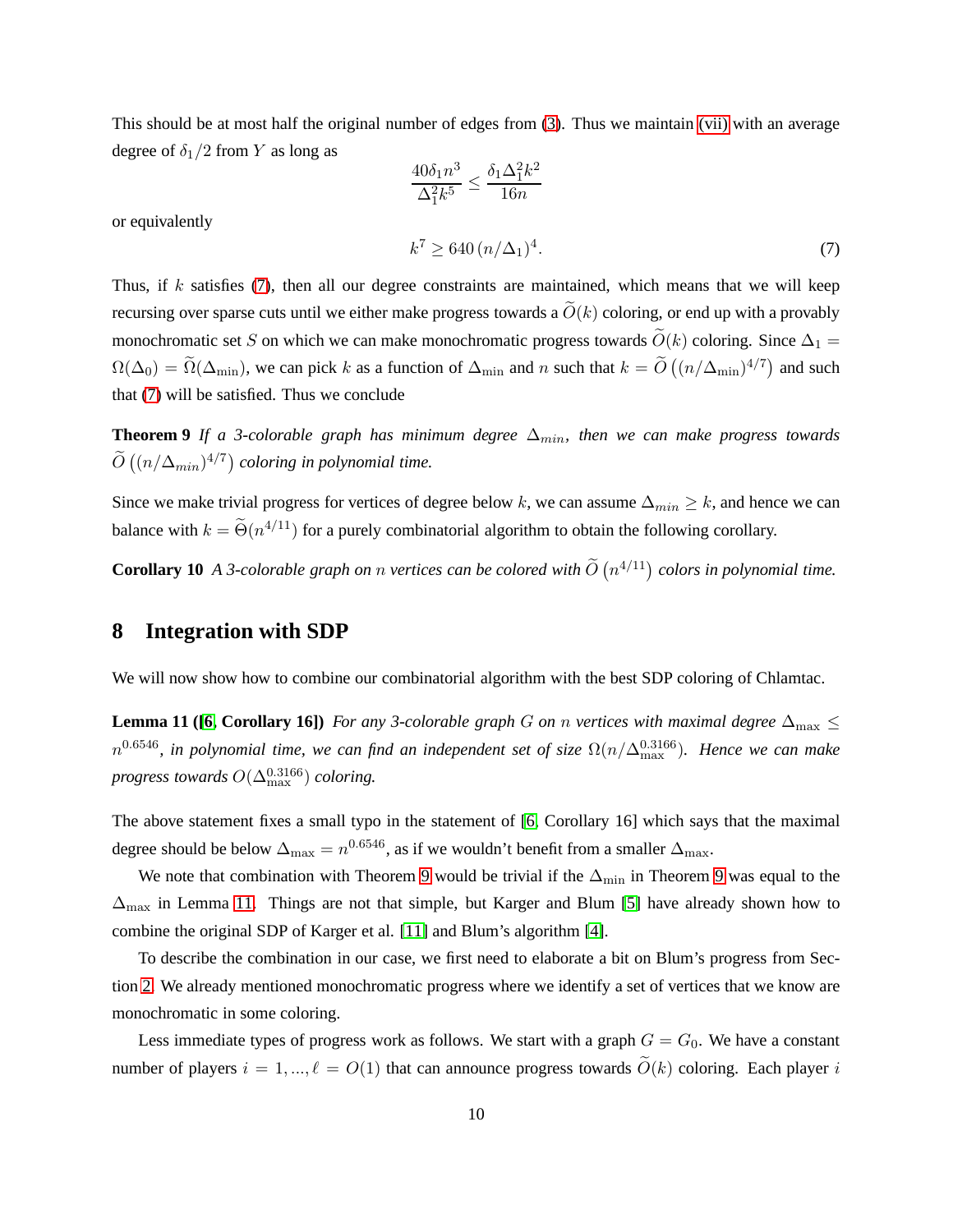This should be at most half the original number of edges from [\(3\)](#page-8-0). Thus we maintain [\(vii\)](#page-7-0) with an average degree of  $\delta_1/2$  from Y as long as

<span id="page-10-1"></span><span id="page-10-0"></span>
$$
\frac{40\delta_1 n^3}{\Delta_1^2 k^5} \le \frac{\delta_1 \Delta_1^2 k^2}{16n}
$$
  

$$
k^7 \ge 640 \left( n/\Delta_1 \right)^4.
$$
 (7)

or equivalently

Thus, if k satisfies (7), then all our degree constraints are maintained, which means that we will keep  
recursing over sparse cuts until we either make progress towards a 
$$
\tilde{O}(k)
$$
 coloring, or end up with a provably  
monochromatic set S on which we can make monochromatic progress towards  $\tilde{O}(k)$  coloring. Since  $\Delta_1 = \Omega(\Delta_0) = \tilde{\Omega}(\Delta_{\min})$ , we can pick k as a function of  $\Delta_{\min}$  and n such that  $k = \tilde{O}((n/\Delta_{\min})^{4/7})$  and such  
that (7) will be satisfied. Thus we conclude

Theorem 9 *If a 3-colorable graph has minimum degree*  $\Delta_{min}$ , then we can make progress towards  $\widetilde{O}\left((n/\Delta_{min})^{4/7}\right)$  coloring in polynomial time.

Since we make trivial progress for vertices of degree below k, we can assume  $\Delta_{min} \geq k$ , and hence we can balance with  $k = \tilde{\Theta}(n^{4/11})$  for a purely combinatorial algorithm to obtain the following corollary.

**Corollary 10** *A 3-colorable graph on n vertices can be colored with*  $\tilde{O}(n^{4/11})$  *colors in polynomial time.* 

#### **8 Integration with SDP**

<span id="page-10-2"></span>We will now show how to combine our combinatorial algorithm with the best SDP coloring of Chlamtac.

**Lemma 11 ([\[6,](#page-12-7) Corollary 16])** For any 3-colorable graph G on n vertices with maximal degree  $\Delta_{\text{max}} \leq$  $n^{0.6546}$ , in polynomial time, we can find an independent set of size  $\Omega(n/\Delta_{\max}^{0.3166})$ . Hence we can make *progress towards*  $O(\Delta_{\max}^{0.3166})$  *coloring.* 

The above statement fixes a small typo in the statement of [\[6,](#page-12-7) Corollary 16] which says that the maximal degree should be below  $\Delta_{\max} = n^{0.6546}$ , as if we wouldn't benefit from a smaller  $\Delta_{\max}$ .

We note that combination with Theorem [9](#page-10-1) would be trivial if the  $\Delta_{\text{min}}$  in Theorem 9 was equal to the  $\Delta_{\text{max}}$  in Lemma [11.](#page-10-2) Things are not that simple, but Karger and Blum [\[5\]](#page-12-6) have already shown how to combine the original SDP of Karger et al. [\[11\]](#page-12-5) and Blum's algorithm [\[4\]](#page-12-4).

To describe the combination in our case, we first need to elaborate a bit on Blum's progress from Section [2.](#page-2-2) We already mentioned monochromatic progress where we identify a set of vertices that we know are monochromatic in some coloring.

Less immediate types of progress work as follows. We start with a graph  $G = G_0$ . We have a constant number of players  $i = 1, ..., \ell = O(1)$  that can announce progress towards  $\tilde{O}(k)$  coloring. Each player i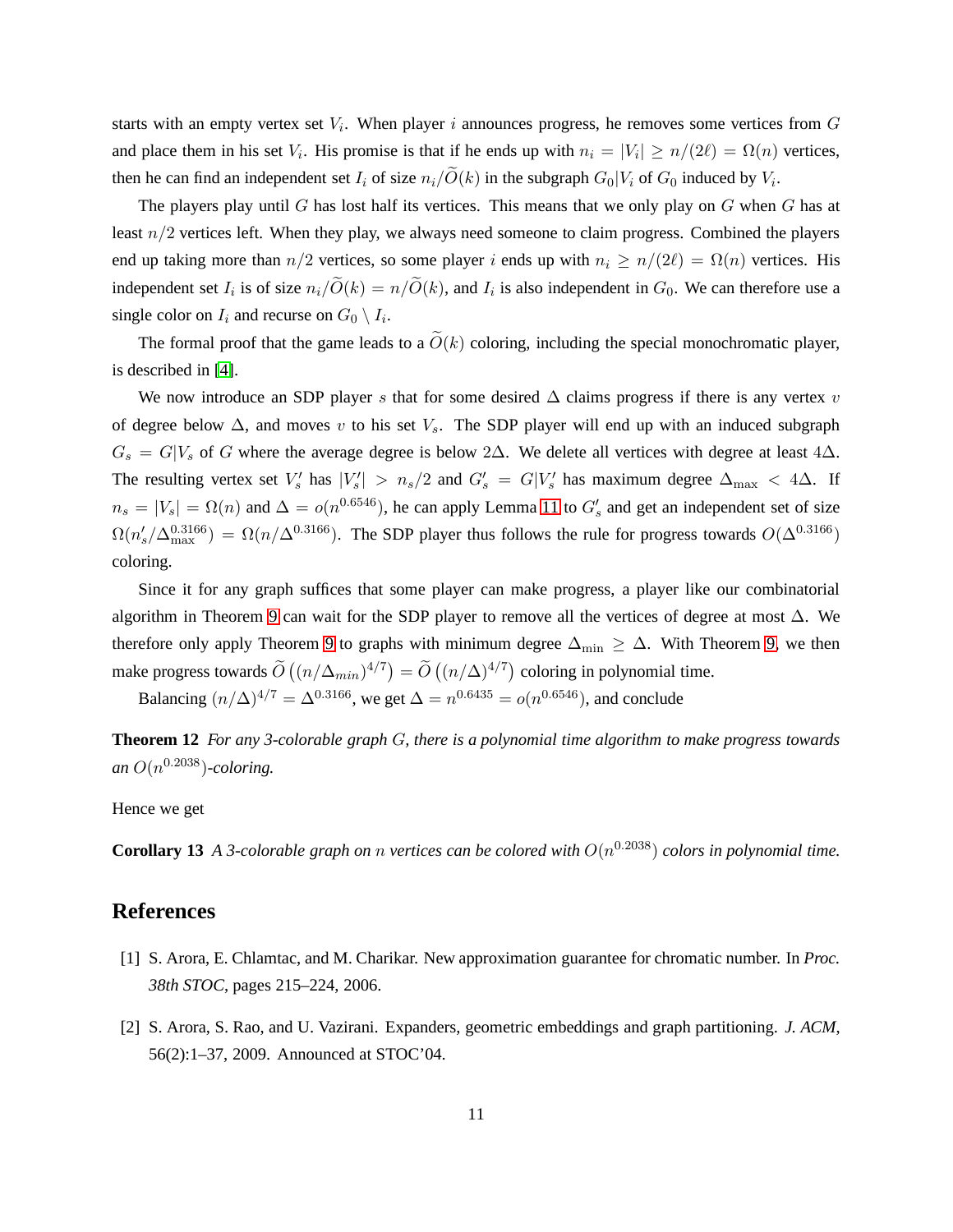starts with an empty vertex set  $V_i$ . When player i announces progress, he removes some vertices from  $G$ and place them in his set  $V_i$ . His promise is that if he ends up with  $n_i = |V_i| \ge n/(2\ell) = \Omega(n)$  vertices, then he can find an independent set  $I_i$  of size  $n_i/O(k)$  in the subgraph  $G_0|V_i$  of  $G_0$  induced by  $V_i$ .

The players play until  $G$  has lost half its vertices. This means that we only play on  $G$  when  $G$  has at least  $n/2$  vertices left. When they play, we always need someone to claim progress. Combined the players end up taking more than  $n/2$  vertices, so some player i ends up with  $n_i \ge n/(2\ell) = \Omega(n)$  vertices. His independent set  $I_i$  is of size  $n_i/O(k) = n/O(k)$ , and  $I_i$  is also independent in  $G_0$ . We can therefore use a single color on  $I_i$  and recurse on  $G_0 \setminus I_i$ .

The formal proof that the game leads to a  $\tilde{O}(k)$  coloring, including the special monochromatic player, is described in [\[4\]](#page-12-4).

We now introduce an SDP player s that for some desired  $\Delta$  claims progress if there is any vertex v of degree below  $\Delta$ , and moves v to his set  $V_s$ . The SDP player will end up with an induced subgraph  $G_s = G|V_s$  of G where the average degree is below 2∆. We delete all vertices with degree at least 4∆. The resulting vertex set  $V'_s$  has  $|V'_s| > n_s/2$  and  $G'_s = G|V'_s$  has maximum degree  $\Delta_{\max} < 4\Delta$ . If  $n_s = |V_s| = \Omega(n)$  and  $\Delta = o(n^{0.6546})$ , he can apply Lemma [11](#page-10-2) to  $G'_s$  and get an independent set of size  $\Omega(n_s'/\Delta_{\max}^{0.3166}) = \Omega(n/\Delta^{0.3166})$ . The SDP player thus follows the rule for progress towards  $O(\Delta^{0.3166})$ coloring.

Since it for any graph suffices that some player can make progress, a player like our combinatorial algorithm in Theorem [9](#page-10-1) can wait for the SDP player to remove all the vertices of degree at most  $\Delta$ . We therefore only apply Theorem [9](#page-10-1) to graphs with minimum degree  $\Delta_{\min} \geq \Delta$ . With Theorem [9,](#page-10-1) we then make progress towards  $\widetilde{O}((n/\Delta_{min})^{4/7}) = \widetilde{O}((n/\Delta)^{4/7})$  coloring in polynomial time.

Balancing  $(n/\Delta)^{4/7} = \Delta^{0.3166}$ , we get  $\Delta = n^{0.6435} = o(n^{0.6546})$ , and conclude

**Theorem 12** *For any 3-colorable graph* G*, there is a polynomial time algorithm to make progress towards* an  $O(n^{0.2038})$ -coloring.

Hence we get

**Corollary 13** *A 3-colorable graph on n vertices can be colored with*  $O(n^{0.2038})$  *colors in polynomial time.* 

#### <span id="page-11-0"></span>**References**

- <span id="page-11-1"></span>[1] S. Arora, E. Chlamtac, and M. Charikar. New approximation guarantee for chromatic number. In *Proc. 38th STOC*, pages 215–224, 2006.
- [2] S. Arora, S. Rao, and U. Vazirani. Expanders, geometric embeddings and graph partitioning. *J. ACM*, 56(2):1–37, 2009. Announced at STOC'04.